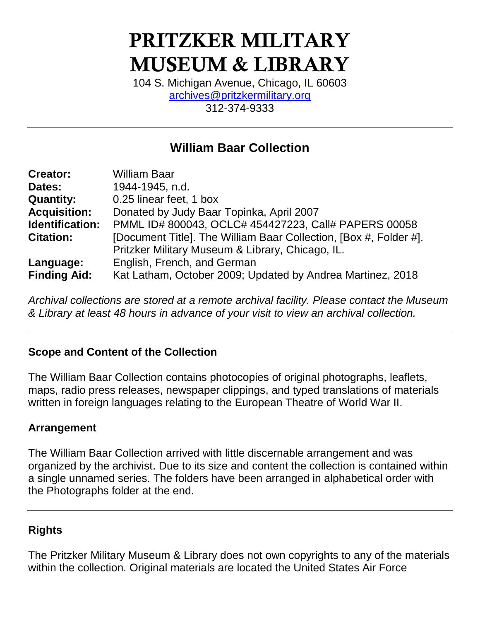# **PRITZKER MILITARY MUSEUM & LIBRARY**

104 S. Michigan Avenue, Chicago, IL 60603 [archives@pritzkermilitary.org](mailto:archives@pritzkermilitary.org) 312-374-9333

# **William Baar Collection**

| <b>Creator:</b>     | <b>William Baar</b>                                               |
|---------------------|-------------------------------------------------------------------|
| Dates:              | 1944-1945, n.d.                                                   |
| <b>Quantity:</b>    | 0.25 linear feet, 1 box                                           |
| <b>Acquisition:</b> | Donated by Judy Baar Topinka, April 2007                          |
| Identification:     | PMML ID# 800043, OCLC# 454427223, Call# PAPERS 00058              |
| <b>Citation:</b>    | [Document Title]. The William Baar Collection, [Box #, Folder #]. |
|                     | Pritzker Military Museum & Library, Chicago, IL.                  |
| Language:           | English, French, and German                                       |
| <b>Finding Aid:</b> | Kat Latham, October 2009; Updated by Andrea Martinez, 2018        |

*Archival collections are stored at a remote archival facility. Please contact the Museum & Library at least 48 hours in advance of your visit to view an archival collection.*

## **Scope and Content of the Collection**

The William Baar Collection contains photocopies of original photographs, leaflets, maps, radio press releases, newspaper clippings, and typed translations of materials written in foreign languages relating to the European Theatre of World War II.

#### **Arrangement**

The William Baar Collection arrived with little discernable arrangement and was organized by the archivist. Due to its size and content the collection is contained within a single unnamed series. The folders have been arranged in alphabetical order with the Photographs folder at the end.

## **Rights**

The Pritzker Military Museum & Library does not own copyrights to any of the materials within the collection. Original materials are located the United States Air Force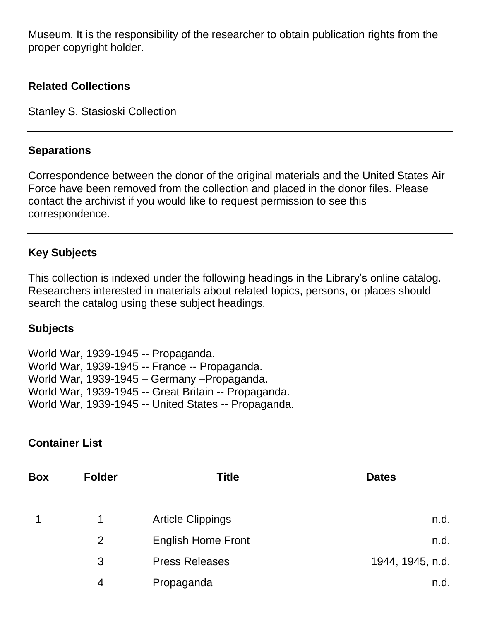Museum. It is the responsibility of the researcher to obtain publication rights from the proper copyright holder.

#### **Related Collections**

Stanley S. Stasioski Collection

#### **Separations**

Correspondence between the donor of the original materials and the United States Air Force have been removed from the collection and placed in the donor files. Please contact the archivist if you would like to request permission to see this correspondence.

#### **Key Subjects**

This collection is indexed under the following headings in the Library's online catalog. Researchers interested in materials about related topics, persons, or places should search the catalog using these subject headings.

#### **Subjects**

World War, 1939-1945 -- Propaganda. World War, 1939-1945 -- France -- Propaganda. World War, 1939-1945 – Germany –Propaganda. World War, 1939-1945 -- Great Britain -- Propaganda. World War, 1939-1945 -- United States -- Propaganda.

#### **Container List**

| <b>Box</b> | <b>Folder</b>  | <b>Title</b>              | <b>Dates</b>     |
|------------|----------------|---------------------------|------------------|
|            | 1              | <b>Article Clippings</b>  | n.d.             |
|            | $\overline{2}$ | <b>English Home Front</b> | n.d.             |
|            | 3              | <b>Press Releases</b>     | 1944, 1945, n.d. |
|            | 4              | Propaganda                | n.d.             |